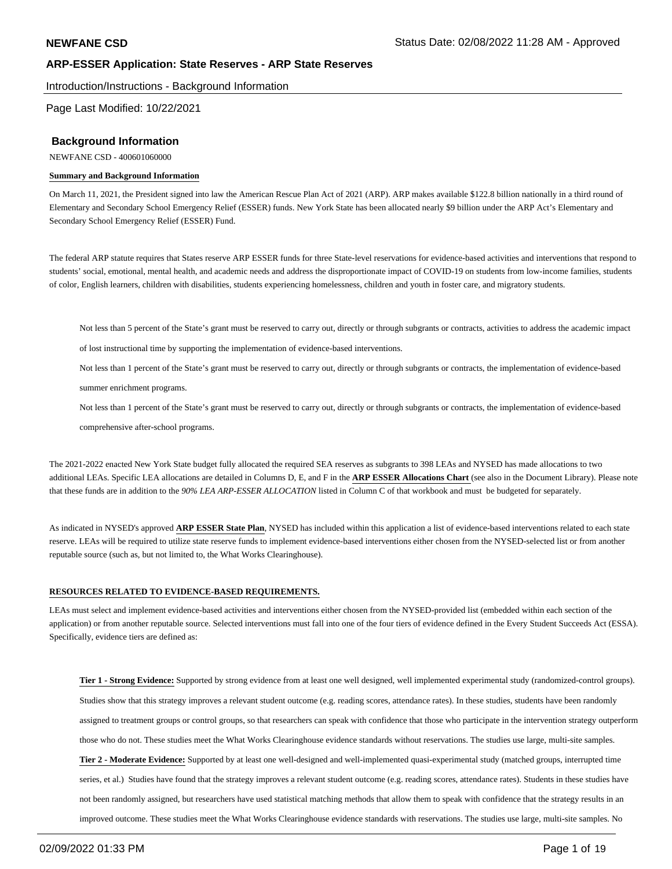Introduction/Instructions - Background Information

Page Last Modified: 10/22/2021

### **Background Information**

NEWFANE CSD - 400601060000

#### **Summary and Background Information**

On March 11, 2021, the President signed into law the American Rescue Plan Act of 2021 (ARP). ARP makes available \$122.8 billion nationally in a third round of Elementary and Secondary School Emergency Relief (ESSER) funds. New York State has been allocated nearly \$9 billion under the ARP Act's Elementary and Secondary School Emergency Relief (ESSER) Fund.

The federal ARP statute requires that States reserve ARP ESSER funds for three State-level reservations for evidence-based activities and interventions that respond to students' social, emotional, mental health, and academic needs and address the disproportionate impact of COVID-19 on students from low-income families, students of color, English learners, children with disabilities, students experiencing homelessness, children and youth in foster care, and migratory students.

Not less than 5 percent of the State's grant must be reserved to carry out, directly or through subgrants or contracts, activities to address the academic impact

of lost instructional time by supporting the implementation of evidence-based interventions.

Not less than 1 percent of the State's grant must be reserved to carry out, directly or through subgrants or contracts, the implementation of evidence-based

summer enrichment programs.

Not less than 1 percent of the State's grant must be reserved to carry out, directly or through subgrants or contracts, the implementation of evidence-based

comprehensive after-school programs.

The 2021-2022 enacted New York State budget fully allocated the required SEA reserves as subgrants to 398 LEAs and NYSED has made allocations to two additional LEAs. Specific LEA allocations are detailed in Columns D, E, and F in the **ARP ESSER Allocations Chart** (see also in the Document Library). Please note that these funds are in addition to the *90% LEA ARP-ESSER ALLOCATION* listed in Column C of that workbook and must be budgeted for separately.

As indicated in NYSED's approved **ARP ESSER State Plan**, NYSED has included within this application a list of evidence-based interventions related to each state reserve. LEAs will be required to utilize state reserve funds to implement evidence-based interventions either chosen from the NYSED-selected list or from another reputable source (such as, but not limited to, the What Works Clearinghouse).

#### **RESOURCES RELATED TO EVIDENCE-BASED REQUIREMENTS.**

LEAs must select and implement evidence-based activities and interventions either chosen from the NYSED-provided list (embedded within each section of the application) or from another reputable source. Selected interventions must fall into one of the four tiers of evidence defined in the Every Student Succeeds Act (ESSA). Specifically, evidence tiers are defined as:

**Tier 1 - Strong Evidence:** Supported by strong evidence from at least one well designed, well implemented experimental study (randomized-control groups). Studies show that this strategy improves a relevant student outcome (e.g. reading scores, attendance rates). In these studies, students have been randomly assigned to treatment groups or control groups, so that researchers can speak with confidence that those who participate in the intervention strategy outperform those who do not. These studies meet the What Works Clearinghouse evidence standards without reservations. The studies use large, multi-site samples. **Tier 2 - Moderate Evidence:** Supported by at least one well-designed and well-implemented quasi-experimental study (matched groups, interrupted time series, et al.) Studies have found that the strategy improves a relevant student outcome (e.g. reading scores, attendance rates). Students in these studies have not been randomly assigned, but researchers have used statistical matching methods that allow them to speak with confidence that the strategy results in an improved outcome. These studies meet the What Works Clearinghouse evidence standards with reservations. The studies use large, multi-site samples. No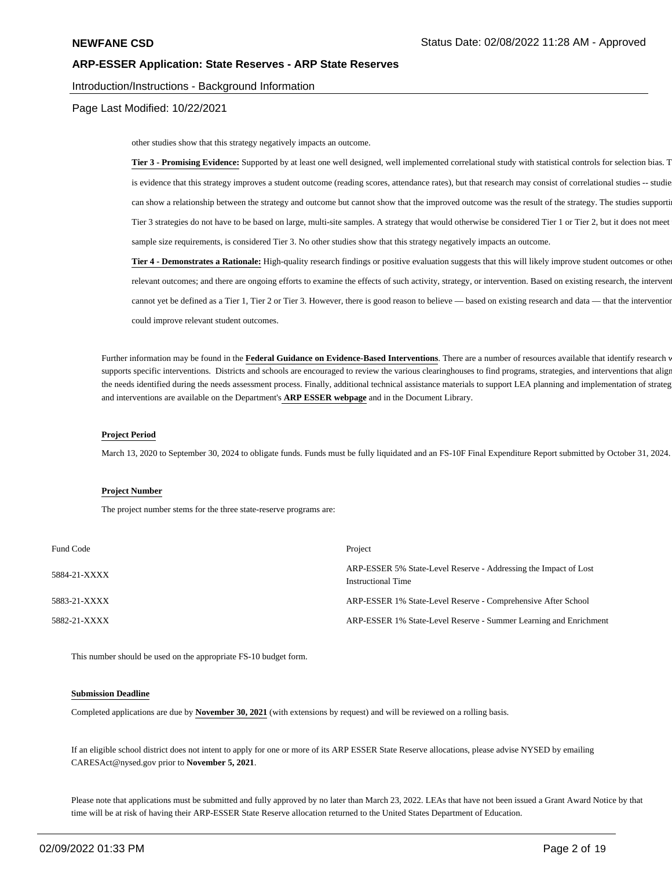#### Introduction/Instructions - Background Information

Page Last Modified: 10/22/2021

other studies show that this strategy negatively impacts an outcome.

Tier 3 - Promising Evidence: Supported by at least one well designed, well implemented correlational study with statistical controls for selection bias. T is evidence that this strategy improves a student outcome (reading scores, attendance rates), but that research may consist of correlational studies -- studie can show a relationship between the strategy and outcome but cannot show that the improved outcome was the result of the strategy. The studies supporti Tier 3 strategies do not have to be based on large, multi-site samples. A strategy that would otherwise be considered Tier 1 or Tier 2, but it does not meet sample size requirements, is considered Tier 3. No other studies show that this strategy negatively impacts an outcome.

**Tier 4 - Demonstrates a Rationale:** High-quality research findings or positive evaluation suggests that this will likely improve student outcomes or other relevant outcomes; and there are ongoing efforts to examine the effects of such activity, strategy, or intervention. Based on existing research, the intervent cannot yet be defined as a Tier 1, Tier 2 or Tier 3. However, there is good reason to believe — based on existing research and data — that the intervention could improve relevant student outcomes.

Further information may be found in the Federal Guidance on Evidence-Based Interventions. There are a number of resources available that identify research v supports specific interventions. Districts and schools are encouraged to review the various clearinghouses to find programs, strategies, and interventions that align the needs identified during the needs assessment process. Finally, additional technical assistance materials to support LEA planning and implementation of strateg and interventions are available on the Department's **ARP ESSER webpage** and in the Document Library.

#### **Project Period**

March 13, 2020 to September 30, 2024 to obligate funds. Funds must be fully liquidated and an FS-10F Final Expenditure Report submitted by October 31, 2024.

#### **Project Number**

The project number stems for the three state-reserve programs are:

| Fund Code    | Project                                                                                       |
|--------------|-----------------------------------------------------------------------------------------------|
| 5884-21-XXXX | ARP-ESSER 5% State-Level Reserve - Addressing the Impact of Lost<br><b>Instructional Time</b> |
| 5883-21-XXXX | ARP-ESSER 1% State-Level Reserve - Comprehensive After School                                 |
| 5882-21-XXXX | ARP-ESSER 1% State-Level Reserve - Summer Learning and Enrichment                             |

This number should be used on the appropriate FS-10 budget form.

#### **Submission Deadline**

Completed applications are due by **November 30, 2021** (with extensions by request) and will be reviewed on a rolling basis.

If an eligible school district does not intent to apply for one or more of its ARP ESSER State Reserve allocations, please advise NYSED by emailing CARESAct@nysed.gov prior to **November 5, 2021**.

Please note that applications must be submitted and fully approved by no later than March 23, 2022. LEAs that have not been issued a Grant Award Notice by that time will be at risk of having their ARP-ESSER State Reserve allocation returned to the United States Department of Education.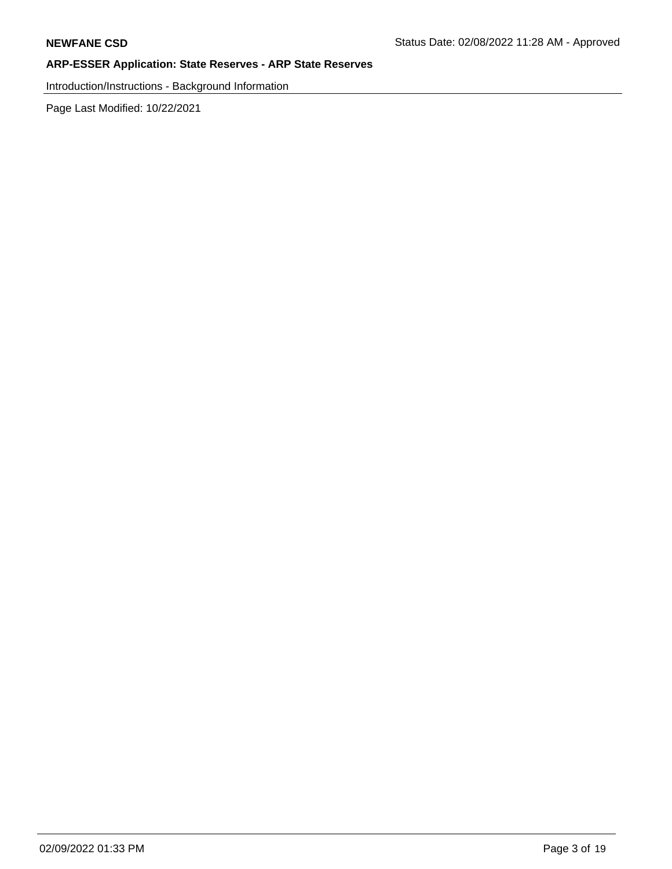Introduction/Instructions - Background Information

Page Last Modified: 10/22/2021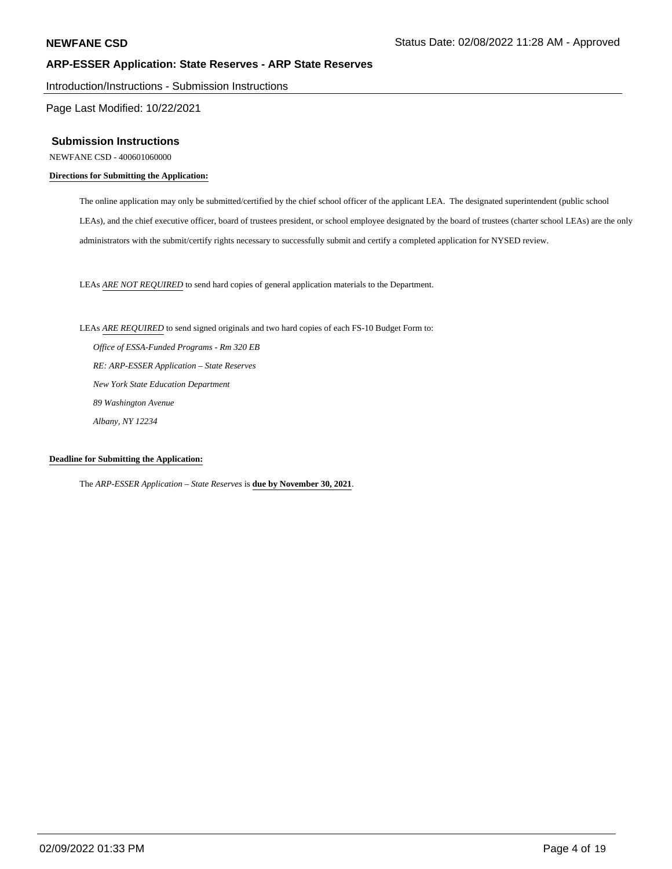Introduction/Instructions - Submission Instructions

Page Last Modified: 10/22/2021

#### **Submission Instructions**

NEWFANE CSD - 400601060000

#### **Directions for Submitting the Application:**

The online application may only be submitted/certified by the chief school officer of the applicant LEA. The designated superintendent (public school LEAs), and the chief executive officer, board of trustees president, or school employee designated by the board of trustees (charter school LEAs) are the only administrators with the submit/certify rights necessary to successfully submit and certify a completed application for NYSED review.

LEAs *ARE NOT REQUIRED* to send hard copies of general application materials to the Department.

LEAs *ARE REQUIRED* to send signed originals and two hard copies of each FS-10 Budget Form to:

 *Office of ESSA-Funded Programs - Rm 320 EB RE: ARP-ESSER Application – State Reserves New York State Education Department 89 Washington Avenue Albany, NY 12234*

### **Deadline for Submitting the Application:**

The *ARP-ESSER Application – State Reserves* is **due by November 30, 2021**.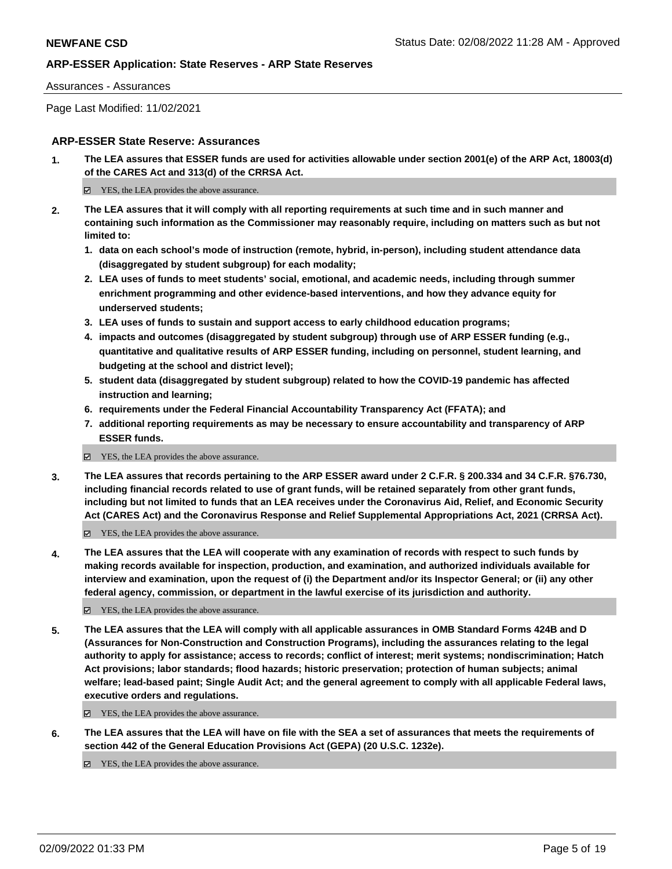#### Assurances - Assurances

Page Last Modified: 11/02/2021

## **ARP-ESSER State Reserve: Assurances**

**1. The LEA assures that ESSER funds are used for activities allowable under section 2001(e) of the ARP Act, 18003(d) of the CARES Act and 313(d) of the CRRSA Act.**

 $\Xi$  YES, the LEA provides the above assurance.

- **2. The LEA assures that it will comply with all reporting requirements at such time and in such manner and containing such information as the Commissioner may reasonably require, including on matters such as but not limited to:**
	- **1. data on each school's mode of instruction (remote, hybrid, in-person), including student attendance data (disaggregated by student subgroup) for each modality;**
	- **2. LEA uses of funds to meet students' social, emotional, and academic needs, including through summer enrichment programming and other evidence-based interventions, and how they advance equity for underserved students;**
	- **3. LEA uses of funds to sustain and support access to early childhood education programs;**
	- **4. impacts and outcomes (disaggregated by student subgroup) through use of ARP ESSER funding (e.g., quantitative and qualitative results of ARP ESSER funding, including on personnel, student learning, and budgeting at the school and district level);**
	- **5. student data (disaggregated by student subgroup) related to how the COVID-19 pandemic has affected instruction and learning;**
	- **6. requirements under the Federal Financial Accountability Transparency Act (FFATA); and**
	- **7. additional reporting requirements as may be necessary to ensure accountability and transparency of ARP ESSER funds.**
	- YES, the LEA provides the above assurance.
- **3. The LEA assures that records pertaining to the ARP ESSER award under 2 C.F.R. § 200.334 and 34 C.F.R. §76.730, including financial records related to use of grant funds, will be retained separately from other grant funds, including but not limited to funds that an LEA receives under the Coronavirus Aid, Relief, and Economic Security Act (CARES Act) and the Coronavirus Response and Relief Supplemental Appropriations Act, 2021 (CRRSA Act).**

YES, the LEA provides the above assurance.

**4. The LEA assures that the LEA will cooperate with any examination of records with respect to such funds by making records available for inspection, production, and examination, and authorized individuals available for interview and examination, upon the request of (i) the Department and/or its Inspector General; or (ii) any other federal agency, commission, or department in the lawful exercise of its jurisdiction and authority.**

YES, the LEA provides the above assurance.

**5. The LEA assures that the LEA will comply with all applicable assurances in OMB Standard Forms 424B and D (Assurances for Non-Construction and Construction Programs), including the assurances relating to the legal authority to apply for assistance; access to records; conflict of interest; merit systems; nondiscrimination; Hatch Act provisions; labor standards; flood hazards; historic preservation; protection of human subjects; animal welfare; lead-based paint; Single Audit Act; and the general agreement to comply with all applicable Federal laws, executive orders and regulations.**

■ YES, the LEA provides the above assurance.

**6. The LEA assures that the LEA will have on file with the SEA a set of assurances that meets the requirements of section 442 of the General Education Provisions Act (GEPA) (20 U.S.C. 1232e).**

 $\boxtimes$  YES, the LEA provides the above assurance.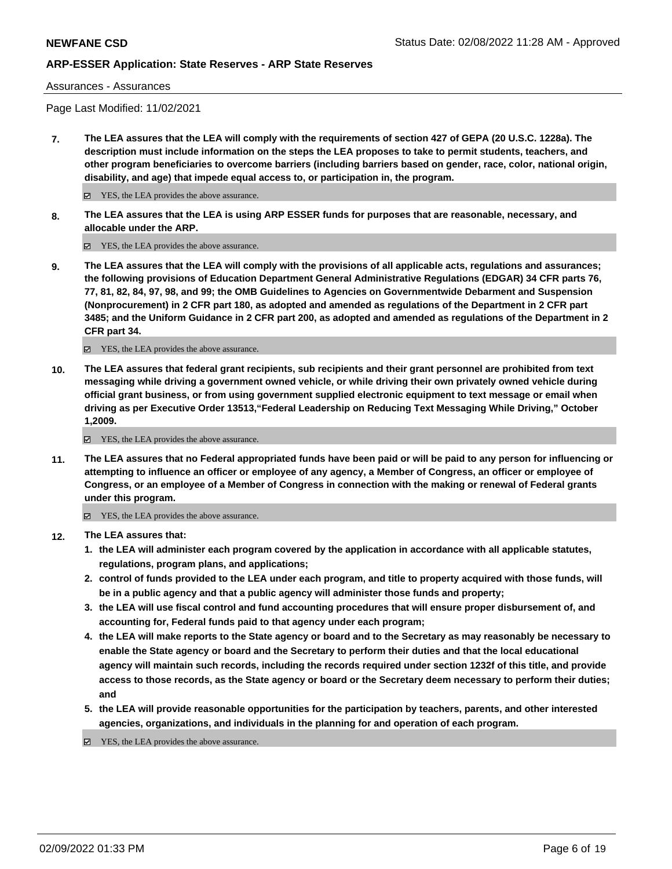Assurances - Assurances

Page Last Modified: 11/02/2021

**7. The LEA assures that the LEA will comply with the requirements of section 427 of GEPA (20 U.S.C. 1228a). The description must include information on the steps the LEA proposes to take to permit students, teachers, and other program beneficiaries to overcome barriers (including barriers based on gender, race, color, national origin, disability, and age) that impede equal access to, or participation in, the program.**

■ YES, the LEA provides the above assurance.

**8. The LEA assures that the LEA is using ARP ESSER funds for purposes that are reasonable, necessary, and allocable under the ARP.**

■ YES, the LEA provides the above assurance.

**9. The LEA assures that the LEA will comply with the provisions of all applicable acts, regulations and assurances; the following provisions of Education Department General Administrative Regulations (EDGAR) 34 CFR parts 76, 77, 81, 82, 84, 97, 98, and 99; the OMB Guidelines to Agencies on Governmentwide Debarment and Suspension (Nonprocurement) in 2 CFR part 180, as adopted and amended as regulations of the Department in 2 CFR part 3485; and the Uniform Guidance in 2 CFR part 200, as adopted and amended as regulations of the Department in 2 CFR part 34.**

YES, the LEA provides the above assurance.

**10. The LEA assures that federal grant recipients, sub recipients and their grant personnel are prohibited from text messaging while driving a government owned vehicle, or while driving their own privately owned vehicle during official grant business, or from using government supplied electronic equipment to text message or email when driving as per Executive Order 13513,"Federal Leadership on Reducing Text Messaging While Driving," October 1,2009.**

YES, the LEA provides the above assurance.

**11. The LEA assures that no Federal appropriated funds have been paid or will be paid to any person for influencing or attempting to influence an officer or employee of any agency, a Member of Congress, an officer or employee of Congress, or an employee of a Member of Congress in connection with the making or renewal of Federal grants under this program.**

YES, the LEA provides the above assurance.

- **12. The LEA assures that:**
	- **1. the LEA will administer each program covered by the application in accordance with all applicable statutes, regulations, program plans, and applications;**
	- **2. control of funds provided to the LEA under each program, and title to property acquired with those funds, will be in a public agency and that a public agency will administer those funds and property;**
	- **3. the LEA will use fiscal control and fund accounting procedures that will ensure proper disbursement of, and accounting for, Federal funds paid to that agency under each program;**
	- **4. the LEA will make reports to the State agency or board and to the Secretary as may reasonably be necessary to enable the State agency or board and the Secretary to perform their duties and that the local educational agency will maintain such records, including the records required under section 1232f of this title, and provide access to those records, as the State agency or board or the Secretary deem necessary to perform their duties; and**
	- **5. the LEA will provide reasonable opportunities for the participation by teachers, parents, and other interested agencies, organizations, and individuals in the planning for and operation of each program.**

YES, the LEA provides the above assurance.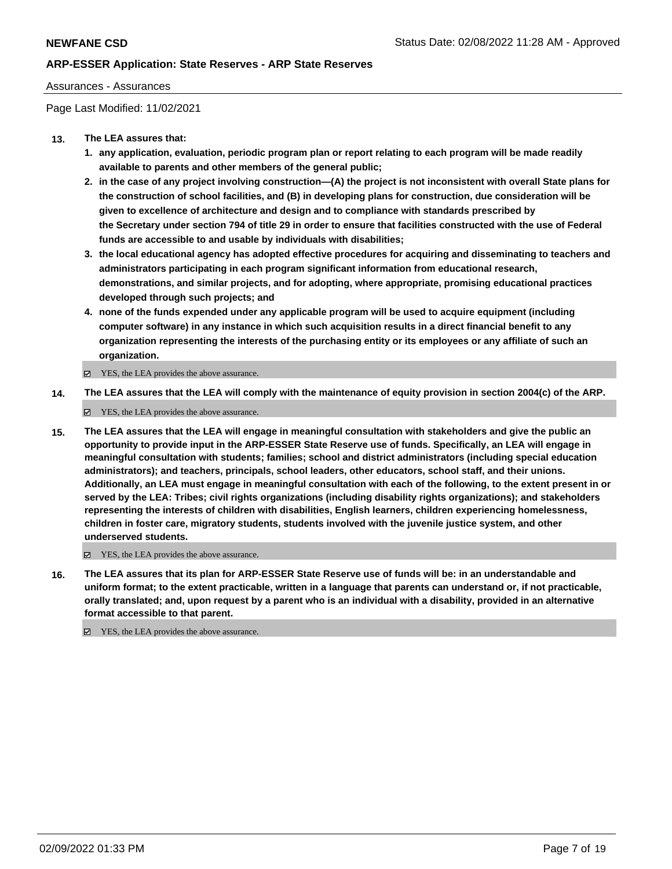### Assurances - Assurances

Page Last Modified: 11/02/2021

## **13. The LEA assures that:**

- **1. any application, evaluation, periodic program plan or report relating to each program will be made readily available to parents and other members of the general public;**
- **2. in the case of any project involving construction—(A) the project is not inconsistent with overall State plans for the construction of school facilities, and (B) in developing plans for construction, due consideration will be given to excellence of architecture and design and to compliance with standards prescribed by the Secretary under section 794 of title 29 in order to ensure that facilities constructed with the use of Federal funds are accessible to and usable by individuals with disabilities;**
- **3. the local educational agency has adopted effective procedures for acquiring and disseminating to teachers and administrators participating in each program significant information from educational research, demonstrations, and similar projects, and for adopting, where appropriate, promising educational practices developed through such projects; and**
- **4. none of the funds expended under any applicable program will be used to acquire equipment (including computer software) in any instance in which such acquisition results in a direct financial benefit to any organization representing the interests of the purchasing entity or its employees or any affiliate of such an organization.**

 $\Xi$  YES, the LEA provides the above assurance.

**14. The LEA assures that the LEA will comply with the maintenance of equity provision in section 2004(c) of the ARP.**

YES, the LEA provides the above assurance.

**15. The LEA assures that the LEA will engage in meaningful consultation with stakeholders and give the public an opportunity to provide input in the ARP-ESSER State Reserve use of funds. Specifically, an LEA will engage in meaningful consultation with students; families; school and district administrators (including special education administrators); and teachers, principals, school leaders, other educators, school staff, and their unions. Additionally, an LEA must engage in meaningful consultation with each of the following, to the extent present in or served by the LEA: Tribes; civil rights organizations (including disability rights organizations); and stakeholders representing the interests of children with disabilities, English learners, children experiencing homelessness, children in foster care, migratory students, students involved with the juvenile justice system, and other underserved students.**

YES, the LEA provides the above assurance.

**16. The LEA assures that its plan for ARP-ESSER State Reserve use of funds will be: in an understandable and uniform format; to the extent practicable, written in a language that parents can understand or, if not practicable, orally translated; and, upon request by a parent who is an individual with a disability, provided in an alternative format accessible to that parent.**

YES, the LEA provides the above assurance.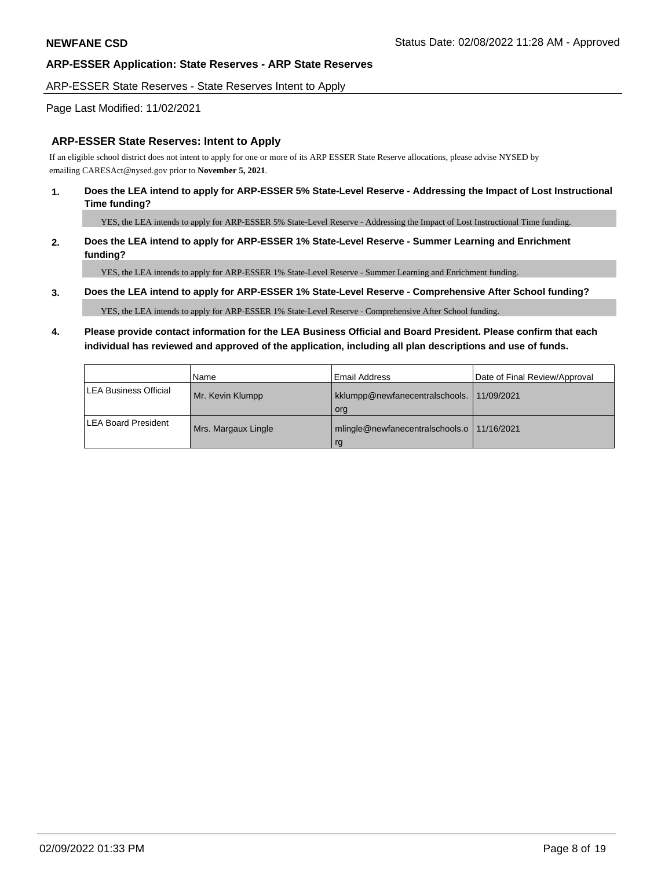#### ARP-ESSER State Reserves - State Reserves Intent to Apply

### Page Last Modified: 11/02/2021

### **ARP-ESSER State Reserves: Intent to Apply**

If an eligible school district does not intent to apply for one or more of its ARP ESSER State Reserve allocations, please advise NYSED by emailing CARESAct@nysed.gov prior to **November 5, 2021**.

### **1. Does the LEA intend to apply for ARP-ESSER 5% State-Level Reserve - Addressing the Impact of Lost Instructional Time funding?**

YES, the LEA intends to apply for ARP-ESSER 5% State-Level Reserve - Addressing the Impact of Lost Instructional Time funding.

## **2. Does the LEA intend to apply for ARP-ESSER 1% State-Level Reserve - Summer Learning and Enrichment funding?**

YES, the LEA intends to apply for ARP-ESSER 1% State-Level Reserve - Summer Learning and Enrichment funding.

#### **3. Does the LEA intend to apply for ARP-ESSER 1% State-Level Reserve - Comprehensive After School funding?**

YES, the LEA intends to apply for ARP-ESSER 1% State-Level Reserve - Comprehensive After School funding.

# **4. Please provide contact information for the LEA Business Official and Board President. Please confirm that each individual has reviewed and approved of the application, including all plan descriptions and use of funds.**

|                            | l Name              | l Email Address                                    | Date of Final Review/Approval |
|----------------------------|---------------------|----------------------------------------------------|-------------------------------|
| LEA Business Official      | Mr. Kevin Klumpp    | kklumpp@newfanecentralschools. 11/09/2021<br>org   |                               |
| <b>LEA Board President</b> | Mrs. Margaux Lingle | mlingle@newfanecentralschools.o   11/16/2021<br>rg |                               |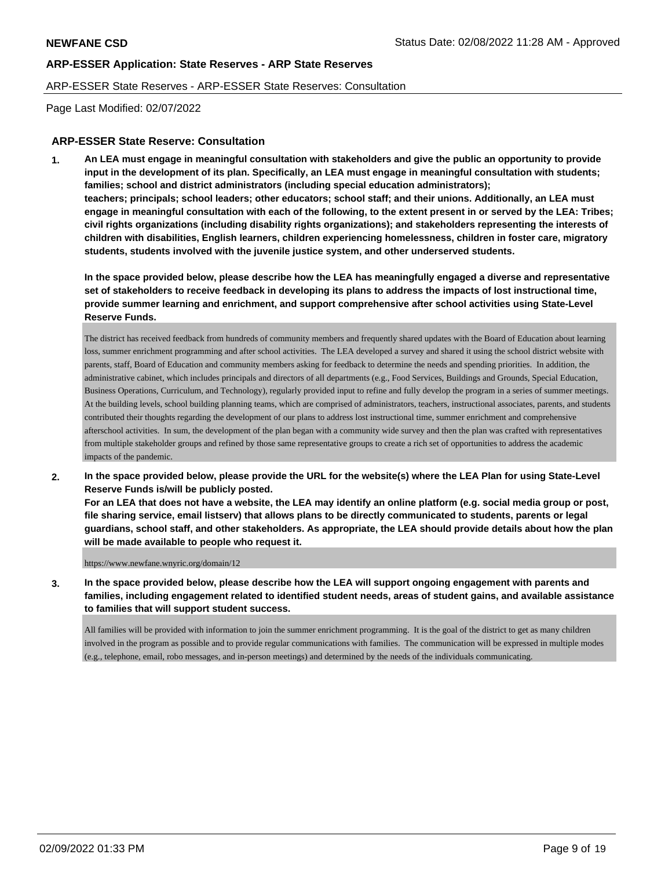### ARP-ESSER State Reserves - ARP-ESSER State Reserves: Consultation

Page Last Modified: 02/07/2022

## **ARP-ESSER State Reserve: Consultation**

**1. An LEA must engage in meaningful consultation with stakeholders and give the public an opportunity to provide input in the development of its plan. Specifically, an LEA must engage in meaningful consultation with students; families; school and district administrators (including special education administrators); teachers; principals; school leaders; other educators; school staff; and their unions. Additionally, an LEA must engage in meaningful consultation with each of the following, to the extent present in or served by the LEA: Tribes; civil rights organizations (including disability rights organizations); and stakeholders representing the interests of children with disabilities, English learners, children experiencing homelessness, children in foster care, migratory students, students involved with the juvenile justice system, and other underserved students.**

**In the space provided below, please describe how the LEA has meaningfully engaged a diverse and representative set of stakeholders to receive feedback in developing its plans to address the impacts of lost instructional time, provide summer learning and enrichment, and support comprehensive after school activities using State-Level Reserve Funds.**

The district has received feedback from hundreds of community members and frequently shared updates with the Board of Education about learning loss, summer enrichment programming and after school activities. The LEA developed a survey and shared it using the school district website with parents, staff, Board of Education and community members asking for feedback to determine the needs and spending priorities. In addition, the administrative cabinet, which includes principals and directors of all departments (e.g., Food Services, Buildings and Grounds, Special Education, Business Operations, Curriculum, and Technology), regularly provided input to refine and fully develop the program in a series of summer meetings. At the building levels, school building planning teams, which are comprised of administrators, teachers, instructional associates, parents, and students contributed their thoughts regarding the development of our plans to address lost instructional time, summer enrichment and comprehensive afterschool activities. In sum, the development of the plan began with a community wide survey and then the plan was crafted with representatives from multiple stakeholder groups and refined by those same representative groups to create a rich set of opportunities to address the academic impacts of the pandemic.

**2. In the space provided below, please provide the URL for the website(s) where the LEA Plan for using State-Level Reserve Funds is/will be publicly posted.** 

**For an LEA that does not have a website, the LEA may identify an online platform (e.g. social media group or post, file sharing service, email listserv) that allows plans to be directly communicated to students, parents or legal guardians, school staff, and other stakeholders. As appropriate, the LEA should provide details about how the plan will be made available to people who request it.**

https://www.newfane.wnyric.org/domain/12

**3. In the space provided below, please describe how the LEA will support ongoing engagement with parents and families, including engagement related to identified student needs, areas of student gains, and available assistance to families that will support student success.**

All families will be provided with information to join the summer enrichment programming. It is the goal of the district to get as many children involved in the program as possible and to provide regular communications with families. The communication will be expressed in multiple modes (e.g., telephone, email, robo messages, and in-person meetings) and determined by the needs of the individuals communicating.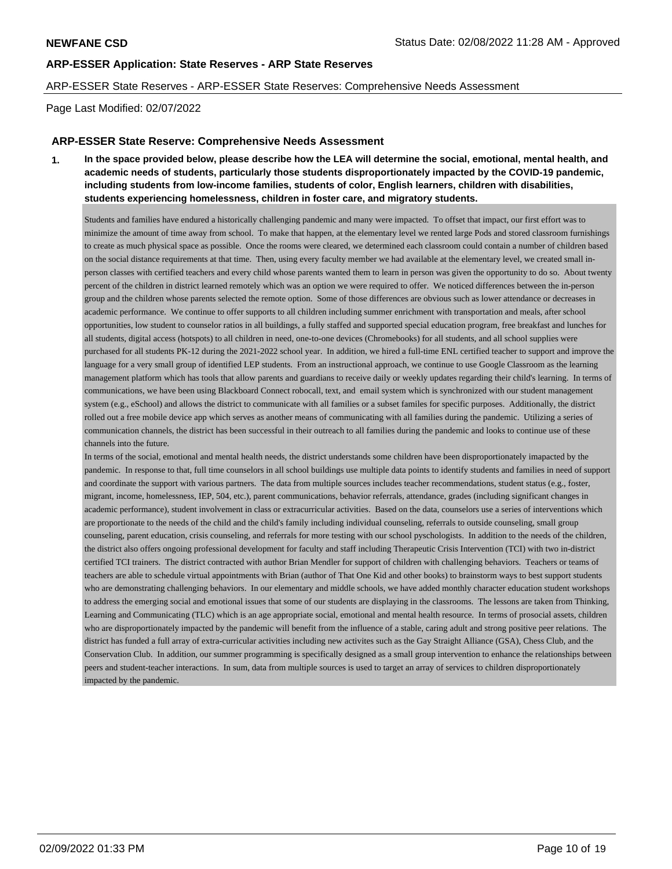#### ARP-ESSER State Reserves - ARP-ESSER State Reserves: Comprehensive Needs Assessment

Page Last Modified: 02/07/2022

### **ARP-ESSER State Reserve: Comprehensive Needs Assessment**

**1. In the space provided below, please describe how the LEA will determine the social, emotional, mental health, and academic needs of students, particularly those students disproportionately impacted by the COVID-19 pandemic, including students from low-income families, students of color, English learners, children with disabilities, students experiencing homelessness, children in foster care, and migratory students.** 

Students and families have endured a historically challenging pandemic and many were impacted. To offset that impact, our first effort was to minimize the amount of time away from school. To make that happen, at the elementary level we rented large Pods and stored classroom furnishings to create as much physical space as possible. Once the rooms were cleared, we determined each classroom could contain a number of children based on the social distance requirements at that time. Then, using every faculty member we had available at the elementary level, we created small inperson classes with certified teachers and every child whose parents wanted them to learn in person was given the opportunity to do so. About twenty percent of the children in district learned remotely which was an option we were required to offer. We noticed differences between the in-person group and the children whose parents selected the remote option. Some of those differences are obvious such as lower attendance or decreases in academic performance. We continue to offer supports to all children including summer enrichment with transportation and meals, after school opportunities, low student to counselor ratios in all buildings, a fully staffed and supported special education program, free breakfast and lunches for all students, digital access (hotspots) to all children in need, one-to-one devices (Chromebooks) for all students, and all school supplies were purchased for all students PK-12 during the 2021-2022 school year. In addition, we hired a full-time ENL certified teacher to support and improve the language for a very small group of identified LEP students. From an instructional approach, we continue to use Google Classroom as the learning management platform which has tools that allow parents and guardians to receive daily or weekly updates regarding their child's learning. In terms of communications, we have been using Blackboard Connect robocall, text, and email system which is synchronized with our student management system (e.g., eSchool) and allows the district to communicate with all families or a subset familes for specific purposes. Additionally, the district rolled out a free mobile device app which serves as another means of communicating with all families during the pandemic. Utilizing a series of communication channels, the district has been successful in their outreach to all families during the pandemic and looks to continue use of these channels into the future.

In terms of the social, emotional and mental health needs, the district understands some children have been disproportionately imapacted by the pandemic. In response to that, full time counselors in all school buildings use multiple data points to identify students and families in need of support and coordinate the support with various partners. The data from multiple sources includes teacher recommendations, student status (e.g., foster, migrant, income, homelessness, IEP, 504, etc.), parent communications, behavior referrals, attendance, grades (including significant changes in academic performance), student involvement in class or extracurricular activities. Based on the data, counselors use a series of interventions which are proportionate to the needs of the child and the child's family including individual counseling, referrals to outside counseling, small group counseling, parent education, crisis counseling, and referrals for more testing with our school pyschologists. In addition to the needs of the children, the district also offers ongoing professional development for faculty and staff including Therapeutic Crisis Intervention (TCI) with two in-district certified TCI trainers. The district contracted with author Brian Mendler for support of children with challenging behaviors. Teachers or teams of teachers are able to schedule virtual appointments with Brian (author of That One Kid and other books) to brainstorm ways to best support students who are demonstrating challenging behaviors. In our elementary and middle schools, we have added monthly character education student workshops to address the emerging social and emotional issues that some of our students are displaying in the classrooms. The lessons are taken from Thinking, Learning and Communicating (TLC) which is an age appropriate social, emotional and mental health resource. In terms of prosocial assets, children who are disproportionately impacted by the pandemic will benefit from the influence of a stable, caring adult and strong positive peer relations. The district has funded a full array of extra-curricular activities including new activites such as the Gay Straight Alliance (GSA), Chess Club, and the Conservation Club. In addition, our summer programming is specifically designed as a small group intervention to enhance the relationships between peers and student-teacher interactions. In sum, data from multiple sources is used to target an array of services to children disproportionately impacted by the pandemic.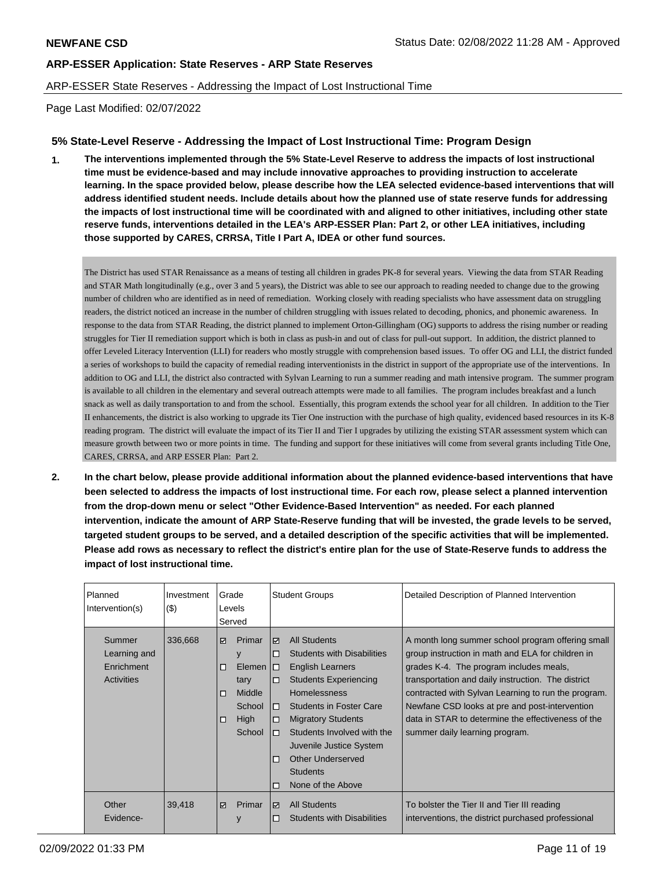## ARP-ESSER State Reserves - Addressing the Impact of Lost Instructional Time

Page Last Modified: 02/07/2022

## **5% State-Level Reserve - Addressing the Impact of Lost Instructional Time: Program Design**

**1. The interventions implemented through the 5% State-Level Reserve to address the impacts of lost instructional time must be evidence-based and may include innovative approaches to providing instruction to accelerate learning. In the space provided below, please describe how the LEA selected evidence-based interventions that will address identified student needs. Include details about how the planned use of state reserve funds for addressing the impacts of lost instructional time will be coordinated with and aligned to other initiatives, including other state reserve funds, interventions detailed in the LEA's ARP-ESSER Plan: Part 2, or other LEA initiatives, including those supported by CARES, CRRSA, Title I Part A, IDEA or other fund sources.**

The District has used STAR Renaissance as a means of testing all children in grades PK-8 for several years. Viewing the data from STAR Reading and STAR Math longitudinally (e.g., over 3 and 5 years), the District was able to see our approach to reading needed to change due to the growing number of children who are identified as in need of remediation. Working closely with reading specialists who have assessment data on struggling readers, the district noticed an increase in the number of children struggling with issues related to decoding, phonics, and phonemic awareness. In response to the data from STAR Reading, the district planned to implement Orton-Gillingham (OG) supports to address the rising number or reading struggles for Tier II remediation support which is both in class as push-in and out of class for pull-out support. In addition, the district planned to offer Leveled Literacy Intervention (LLI) for readers who mostly struggle with comprehension based issues. To offer OG and LLI, the district funded a series of workshops to build the capacity of remedial reading interventionists in the district in support of the appropriate use of the interventions. In addition to OG and LLI, the district also contracted with Sylvan Learning to run a summer reading and math intensive program. The summer program is available to all children in the elementary and several outreach attempts were made to all families. The program includes breakfast and a lunch snack as well as daily transportation to and from the school. Essentially, this program extends the school year for all children. In addition to the Tier II enhancements, the district is also working to upgrade its Tier One instruction with the purchase of high quality, evidenced based resources in its K-8 reading program. The district will evaluate the impact of its Tier II and Tier I upgrades by utilizing the existing STAR assessment system which can measure growth between two or more points in time. The funding and support for these initiatives will come from several grants including Title One, CARES, CRRSA, and ARP ESSER Plan: Part 2.

**2. In the chart below, please provide additional information about the planned evidence-based interventions that have been selected to address the impacts of lost instructional time. For each row, please select a planned intervention from the drop-down menu or select "Other Evidence-Based Intervention" as needed. For each planned intervention, indicate the amount of ARP State-Reserve funding that will be invested, the grade levels to be served, targeted student groups to be served, and a detailed description of the specific activities that will be implemented. Please add rows as necessary to reflect the district's entire plan for the use of State-Reserve funds to address the impact of lost instructional time.**

| Planned<br>Intervention(s)                                | Investment<br>$($ \$) | Grade<br>Levels<br>Served |                                                                     |                                                                | <b>Student Groups</b>                                                                                                                                                                                                                                                                                                                  | Detailed Description of Planned Intervention                                                                                                                                                                                                                                                                                                                                                             |
|-----------------------------------------------------------|-----------------------|---------------------------|---------------------------------------------------------------------|----------------------------------------------------------------|----------------------------------------------------------------------------------------------------------------------------------------------------------------------------------------------------------------------------------------------------------------------------------------------------------------------------------------|----------------------------------------------------------------------------------------------------------------------------------------------------------------------------------------------------------------------------------------------------------------------------------------------------------------------------------------------------------------------------------------------------------|
| Summer<br>Learning and<br>Enrichment<br><b>Activities</b> | 336,668               | ☑<br>□<br>□<br>□          | Primar<br>y<br>Elemen<br>tary<br>Middle<br>School<br>High<br>School | ☑<br>□<br>10<br>$\Box$<br>$\Box$<br>□<br>$\Box$<br>□<br>$\Box$ | <b>All Students</b><br><b>Students with Disabilities</b><br><b>English Learners</b><br><b>Students Experiencing</b><br><b>Homelessness</b><br><b>Students in Foster Care</b><br><b>Migratory Students</b><br>Students Involved with the<br>Juvenile Justice System<br><b>Other Underserved</b><br><b>Students</b><br>None of the Above | A month long summer school program offering small<br>group instruction in math and ELA for children in<br>grades K-4. The program includes meals,<br>transportation and daily instruction. The district<br>contracted with Sylvan Learning to run the program.<br>Newfane CSD looks at pre and post-intervention<br>data in STAR to determine the effectiveness of the<br>summer daily learning program. |
| Other<br>Evidence-                                        | 39,418                | ☑                         | Primar<br>y                                                         | ☑<br>п                                                         | <b>All Students</b><br><b>Students with Disabilities</b>                                                                                                                                                                                                                                                                               | To bolster the Tier II and Tier III reading<br>interventions, the district purchased professional                                                                                                                                                                                                                                                                                                        |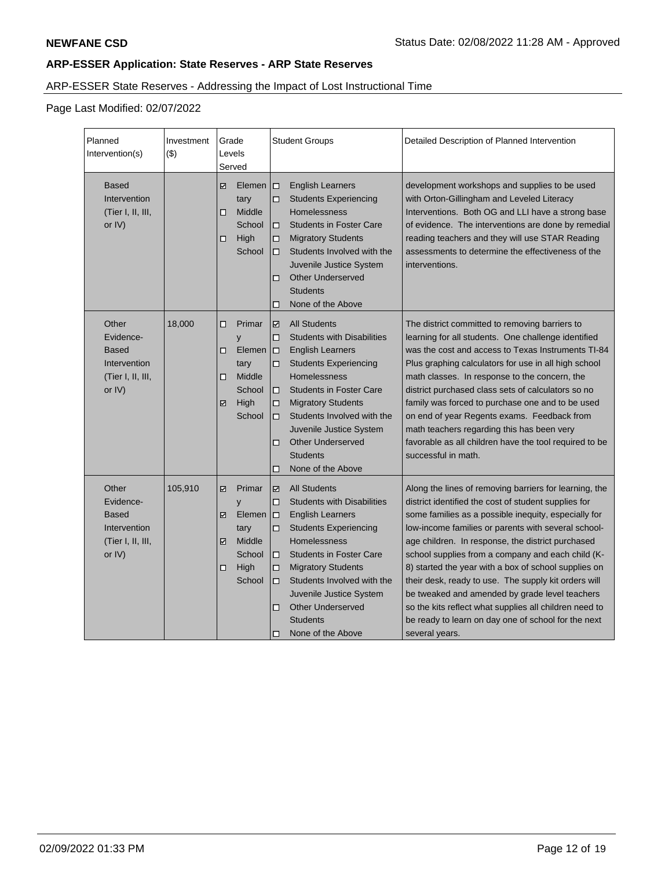# ARP-ESSER State Reserves - Addressing the Impact of Lost Instructional Time

Page Last Modified: 02/07/2022

| Planned<br>Intervention(s)                                                           | Investment<br>$($ \$ | Grade<br>Levels<br>Served                                                               | <b>Student Groups</b>                                                                                                                                                                                                                                                                                                                                                             | Detailed Description of Planned Intervention                                                                                                                                                                                                                                                                                                                                                                                                                                                                                                                                                                                                 |
|--------------------------------------------------------------------------------------|----------------------|-----------------------------------------------------------------------------------------|-----------------------------------------------------------------------------------------------------------------------------------------------------------------------------------------------------------------------------------------------------------------------------------------------------------------------------------------------------------------------------------|----------------------------------------------------------------------------------------------------------------------------------------------------------------------------------------------------------------------------------------------------------------------------------------------------------------------------------------------------------------------------------------------------------------------------------------------------------------------------------------------------------------------------------------------------------------------------------------------------------------------------------------------|
| <b>Based</b><br>Intervention<br>(Tier I, II, III,<br>or IV)                          |                      | ☑<br>Elemen<br>tary<br>□<br>Middle<br>School<br>High<br>◻<br>School                     | $\Box$<br><b>English Learners</b><br>□<br><b>Students Experiencing</b><br>Homelessness<br><b>Students in Foster Care</b><br>п<br><b>Migratory Students</b><br>□<br>Students Involved with the<br>□<br>Juvenile Justice System<br><b>Other Underserved</b><br>□<br><b>Students</b><br>None of the Above<br>□                                                                       | development workshops and supplies to be used<br>with Orton-Gillingham and Leveled Literacy<br>Interventions. Both OG and LLI have a strong base<br>of evidence. The interventions are done by remedial<br>reading teachers and they will use STAR Reading<br>assessments to determine the effectiveness of the<br>interventions.                                                                                                                                                                                                                                                                                                            |
| Other<br>Evidence-<br><b>Based</b><br>Intervention<br>(Tier I, II, III,<br>or $IV$ ) | 18,000               | Primar<br>□<br>y<br>Elemen<br>◻<br>tary<br>Middle<br>◻<br>School<br>High<br>☑<br>School | <b>All Students</b><br>☑<br><b>Students with Disabilities</b><br>□<br>$\Box$<br><b>English Learners</b><br><b>Students Experiencing</b><br>□<br>Homelessness<br><b>Students in Foster Care</b><br>п<br><b>Migratory Students</b><br>□<br>Students Involved with the<br>□<br>Juvenile Justice System<br><b>Other Underserved</b><br>□<br><b>Students</b><br>None of the Above<br>□ | The district committed to removing barriers to<br>learning for all students. One challenge identified<br>was the cost and access to Texas Instruments TI-84<br>Plus graphing calculators for use in all high school<br>math classes. In response to the concern, the<br>district purchased class sets of calculators so no<br>family was forced to purchase one and to be used<br>on end of year Regents exams. Feedback from<br>math teachers regarding this has been very<br>favorable as all children have the tool required to be<br>successful in math.                                                                                 |
| Other<br>Evidence-<br>Based<br>Intervention<br>(Tier I, II, III,<br>or IV)           | 105,910              | ☑<br>Primar<br>y<br>Elemen<br>☑<br>tary<br>Middle<br>☑<br>School<br>High<br>□<br>School | ☑<br><b>All Students</b><br><b>Students with Disabilities</b><br>□<br>□<br><b>English Learners</b><br><b>Students Experiencing</b><br>□<br>Homelessness<br>$\Box$<br><b>Students in Foster Care</b><br><b>Migratory Students</b><br>□<br>Students Involved with the<br>□<br>Juvenile Justice System<br><b>Other Underserved</b><br>□<br><b>Students</b><br>None of the Above<br>□ | Along the lines of removing barriers for learning, the<br>district identified the cost of student supplies for<br>some families as a possible inequity, especially for<br>low-income families or parents with several school-<br>age children. In response, the district purchased<br>school supplies from a company and each child (K-<br>8) started the year with a box of school supplies on<br>their desk, ready to use. The supply kit orders will<br>be tweaked and amended by grade level teachers<br>so the kits reflect what supplies all children need to<br>be ready to learn on day one of school for the next<br>several years. |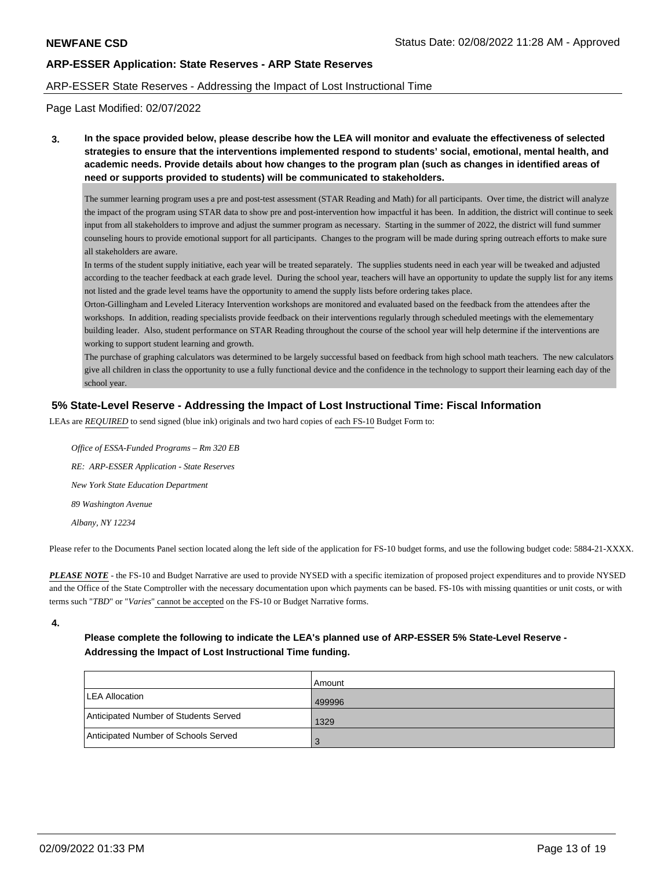### ARP-ESSER State Reserves - Addressing the Impact of Lost Instructional Time

Page Last Modified: 02/07/2022

**3. In the space provided below, please describe how the LEA will monitor and evaluate the effectiveness of selected strategies to ensure that the interventions implemented respond to students' social, emotional, mental health, and academic needs. Provide details about how changes to the program plan (such as changes in identified areas of need or supports provided to students) will be communicated to stakeholders.**

The summer learning program uses a pre and post-test assessment (STAR Reading and Math) for all participants. Over time, the district will analyze the impact of the program using STAR data to show pre and post-intervention how impactful it has been. In addition, the district will continue to seek input from all stakeholders to improve and adjust the summer program as necessary. Starting in the summer of 2022, the district will fund summer counseling hours to provide emotional support for all participants. Changes to the program will be made during spring outreach efforts to make sure all stakeholders are aware.

In terms of the student supply initiative, each year will be treated separately. The supplies students need in each year will be tweaked and adjusted according to the teacher feedback at each grade level. During the school year, teachers will have an opportunity to update the supply list for any items not listed and the grade level teams have the opportunity to amend the supply lists before ordering takes place.

Orton-Gillingham and Leveled Literacy Intervention workshops are monitored and evaluated based on the feedback from the attendees after the workshops. In addition, reading specialists provide feedback on their interventions regularly through scheduled meetings with the elemementary building leader. Also, student performance on STAR Reading throughout the course of the school year will help determine if the interventions are working to support student learning and growth.

The purchase of graphing calculators was determined to be largely successful based on feedback from high school math teachers. The new calculators give all children in class the opportunity to use a fully functional device and the confidence in the technology to support their learning each day of the school year.

## **5% State-Level Reserve - Addressing the Impact of Lost Instructional Time: Fiscal Information**

LEAs are *REQUIRED* to send signed (blue ink) originals and two hard copies of each FS-10 Budget Form to:

 *Office of ESSA-Funded Programs – Rm 320 EB RE: ARP-ESSER Application - State Reserves New York State Education Department 89 Washington Avenue Albany, NY 12234*

Please refer to the Documents Panel section located along the left side of the application for FS-10 budget forms, and use the following budget code: 5884-21-XXXX.

*PLEASE NOTE* - the FS-10 and Budget Narrative are used to provide NYSED with a specific itemization of proposed project expenditures and to provide NYSED and the Office of the State Comptroller with the necessary documentation upon which payments can be based. FS-10s with missing quantities or unit costs, or with terms such "*TBD*" or "*Varies*" cannot be accepted on the FS-10 or Budget Narrative forms.

**4.**

## **Please complete the following to indicate the LEA's planned use of ARP-ESSER 5% State-Level Reserve - Addressing the Impact of Lost Instructional Time funding.**

|                                       | Amount  |
|---------------------------------------|---------|
| <b>ILEA Allocation</b>                | 499996  |
| Anticipated Number of Students Served | 1329    |
| Anticipated Number of Schools Served  | $\cdot$ |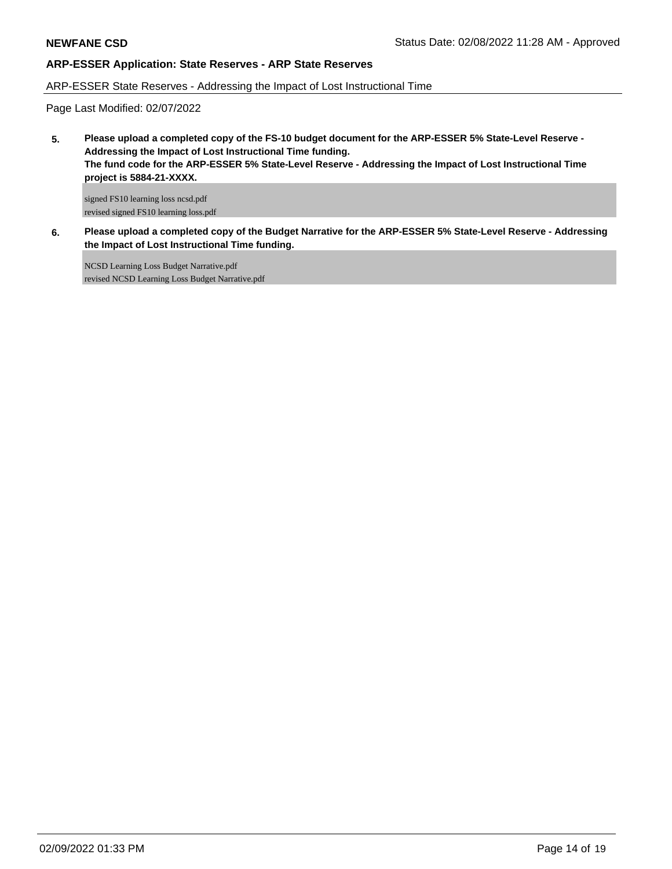## ARP-ESSER State Reserves - Addressing the Impact of Lost Instructional Time

Page Last Modified: 02/07/2022

**5. Please upload a completed copy of the FS-10 budget document for the ARP-ESSER 5% State-Level Reserve - Addressing the Impact of Lost Instructional Time funding. The fund code for the ARP-ESSER 5% State-Level Reserve - Addressing the Impact of Lost Instructional Time project is 5884-21-XXXX.**

signed FS10 learning loss ncsd.pdf revised signed FS10 learning loss.pdf

**6. Please upload a completed copy of the Budget Narrative for the ARP-ESSER 5% State-Level Reserve - Addressing the Impact of Lost Instructional Time funding.**

NCSD Learning Loss Budget Narrative.pdf revised NCSD Learning Loss Budget Narrative.pdf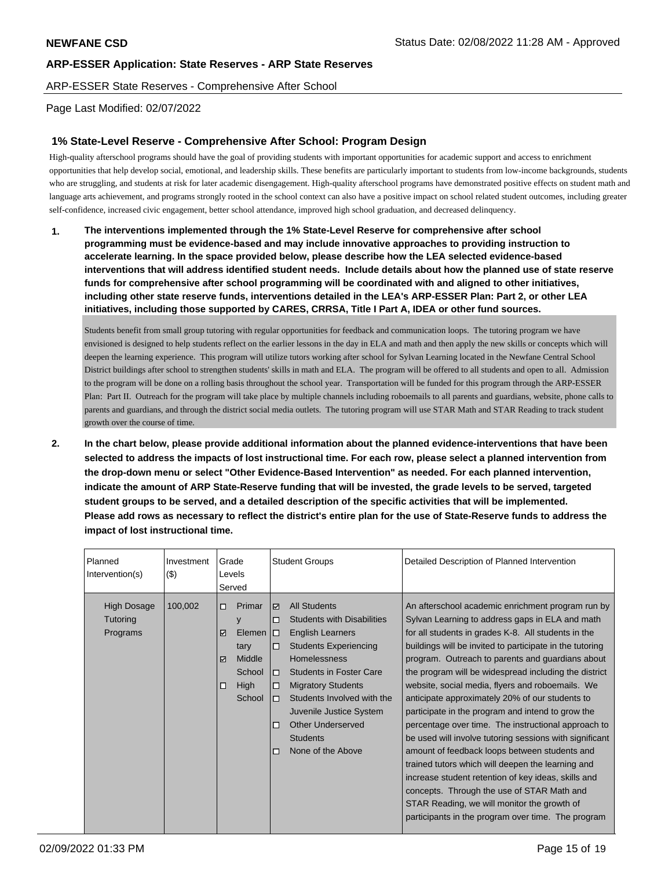ARP-ESSER State Reserves - Comprehensive After School

## Page Last Modified: 02/07/2022

## **1% State-Level Reserve - Comprehensive After School: Program Design**

High-quality afterschool programs should have the goal of providing students with important opportunities for academic support and access to enrichment opportunities that help develop social, emotional, and leadership skills. These benefits are particularly important to students from low-income backgrounds, students who are struggling, and students at risk for later academic disengagement. High-quality afterschool programs have demonstrated positive effects on student math and language arts achievement, and programs strongly rooted in the school context can also have a positive impact on school related student outcomes, including greater self-confidence, increased civic engagement, better school attendance, improved high school graduation, and decreased delinquency.

**1. The interventions implemented through the 1% State-Level Reserve for comprehensive after school programming must be evidence-based and may include innovative approaches to providing instruction to accelerate learning. In the space provided below, please describe how the LEA selected evidence-based interventions that will address identified student needs. Include details about how the planned use of state reserve funds for comprehensive after school programming will be coordinated with and aligned to other initiatives, including other state reserve funds, interventions detailed in the LEA's ARP-ESSER Plan: Part 2, or other LEA initiatives, including those supported by CARES, CRRSA, Title I Part A, IDEA or other fund sources.**

Students benefit from small group tutoring with regular opportunities for feedback and communication loops. The tutoring program we have envisioned is designed to help students reflect on the earlier lessons in the day in ELA and math and then apply the new skills or concepts which will deepen the learning experience. This program will utilize tutors working after school for Sylvan Learning located in the Newfane Central School District buildings after school to strengthen students' skills in math and ELA. The program will be offered to all students and open to all. Admission to the program will be done on a rolling basis throughout the school year. Transportation will be funded for this program through the ARP-ESSER Plan: Part II. Outreach for the program will take place by multiple channels including roboemails to all parents and guardians, website, phone calls to parents and guardians, and through the district social media outlets. The tutoring program will use STAR Math and STAR Reading to track student growth over the course of time.

**2. In the chart below, please provide additional information about the planned evidence-interventions that have been selected to address the impacts of lost instructional time. For each row, please select a planned intervention from the drop-down menu or select "Other Evidence-Based Intervention" as needed. For each planned intervention, indicate the amount of ARP State-Reserve funding that will be invested, the grade levels to be served, targeted student groups to be served, and a detailed description of the specific activities that will be implemented. Please add rows as necessary to reflect the district's entire plan for the use of State-Reserve funds to address the impact of lost instructional time.**

| Planned<br>Intervention(s)          | Investment<br>$($ \$) | Grade<br>Levels<br>Served |                                                                |                                                            |                                                                                                                                                                                                                                                                                                                                 |                                                                                                                                                                                                                                                                                                                                                                                                                                                                                                                                                                                                                                                                                                                                                                                                                                                                                                                                    | <b>Student Groups</b> | Detailed Description of Planned Intervention |
|-------------------------------------|-----------------------|---------------------------|----------------------------------------------------------------|------------------------------------------------------------|---------------------------------------------------------------------------------------------------------------------------------------------------------------------------------------------------------------------------------------------------------------------------------------------------------------------------------|------------------------------------------------------------------------------------------------------------------------------------------------------------------------------------------------------------------------------------------------------------------------------------------------------------------------------------------------------------------------------------------------------------------------------------------------------------------------------------------------------------------------------------------------------------------------------------------------------------------------------------------------------------------------------------------------------------------------------------------------------------------------------------------------------------------------------------------------------------------------------------------------------------------------------------|-----------------------|----------------------------------------------|
| High Dosage<br>Tutoring<br>Programs | 100,002               | □<br>y<br>☑<br>☑<br>□     | Primar<br>Elemen<br>tary<br>Middle<br>School<br>High<br>School | ☑<br>$\Box$<br>I 0<br>$\Box$<br>□<br>□<br>$\Box$<br>□<br>п | <b>All Students</b><br><b>Students with Disabilities</b><br>English Learners<br><b>Students Experiencing</b><br><b>Homelessness</b><br><b>Students in Foster Care</b><br><b>Migratory Students</b><br>Students Involved with the<br>Juvenile Justice System<br><b>Other Underserved</b><br><b>Students</b><br>None of the Above | An afterschool academic enrichment program run by<br>Sylvan Learning to address gaps in ELA and math<br>for all students in grades K-8. All students in the<br>buildings will be invited to participate in the tutoring<br>program. Outreach to parents and guardians about<br>the program will be widespread including the district<br>website, social media, flyers and roboemails. We<br>anticipate approximately 20% of our students to<br>participate in the program and intend to grow the<br>percentage over time. The instructional approach to<br>be used will involve tutoring sessions with significant<br>amount of feedback loops between students and<br>trained tutors which will deepen the learning and<br>increase student retention of key ideas, skills and<br>concepts. Through the use of STAR Math and<br>STAR Reading, we will monitor the growth of<br>participants in the program over time. The program |                       |                                              |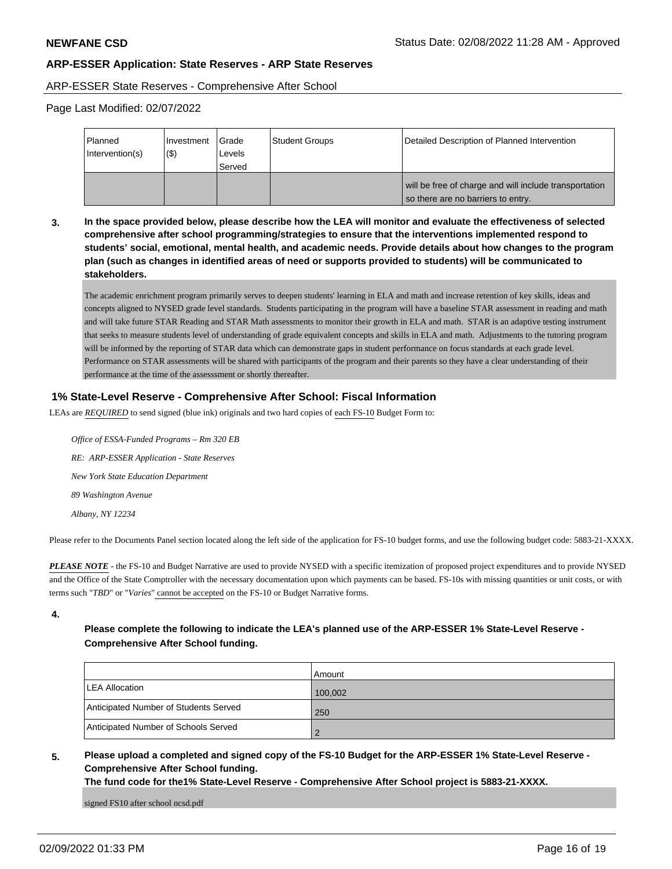#### ARP-ESSER State Reserves - Comprehensive After School

Page Last Modified: 02/07/2022

| <b>Planned</b><br>Intervention(s) | Investment<br>$($ \$) | l Grade<br>Levels<br>l Served | Student Groups | Detailed Description of Planned Intervention                                                 |
|-----------------------------------|-----------------------|-------------------------------|----------------|----------------------------------------------------------------------------------------------|
|                                   |                       |                               |                | will be free of charge and will include transportation<br>so there are no barriers to entry. |

**3. In the space provided below, please describe how the LEA will monitor and evaluate the effectiveness of selected comprehensive after school programming/strategies to ensure that the interventions implemented respond to students' social, emotional, mental health, and academic needs. Provide details about how changes to the program plan (such as changes in identified areas of need or supports provided to students) will be communicated to stakeholders.**

The academic enrichment program primarily serves to deepen students' learning in ELA and math and increase retention of key skills, ideas and concepts aligned to NYSED grade level standards. Students participating in the program will have a baseline STAR assessment in reading and math and will take future STAR Reading and STAR Math assessments to monitor their growth in ELA and math. STAR is an adaptive testing instrument that seeks to measure students level of understanding of grade equivalent concepts and skills in ELA and math. Adjustments to the tutoring program will be informed by the reporting of STAR data which can demonstrate gaps in student performance on focus standards at each grade level. Performance on STAR assessments will be shared with participants of the program and their parents so they have a clear understanding of their performance at the time of the assesssment or shortly thereafter.

## **1% State-Level Reserve - Comprehensive After School: Fiscal Information**

LEAs are *REQUIRED* to send signed (blue ink) originals and two hard copies of each FS-10 Budget Form to:

 *Office of ESSA-Funded Programs – Rm 320 EB RE: ARP-ESSER Application - State Reserves New York State Education Department 89 Washington Avenue Albany, NY 12234*

Please refer to the Documents Panel section located along the left side of the application for FS-10 budget forms, and use the following budget code: 5883-21-XXXX.

*PLEASE NOTE* - the FS-10 and Budget Narrative are used to provide NYSED with a specific itemization of proposed project expenditures and to provide NYSED and the Office of the State Comptroller with the necessary documentation upon which payments can be based. FS-10s with missing quantities or unit costs, or with terms such "*TBD*" or "*Varies*" cannot be accepted on the FS-10 or Budget Narrative forms.

**4.**

## **Please complete the following to indicate the LEA's planned use of the ARP-ESSER 1% State-Level Reserve - Comprehensive After School funding.**

|                                       | Amount  |
|---------------------------------------|---------|
| LEA Allocation                        | 100,002 |
| Anticipated Number of Students Served | 250     |
| Anticipated Number of Schools Served  |         |

## **5. Please upload a completed and signed copy of the FS-10 Budget for the ARP-ESSER 1% State-Level Reserve - Comprehensive After School funding.**

**The fund code for the1% State-Level Reserve - Comprehensive After School project is 5883-21-XXXX.**

signed FS10 after school ncsd.pdf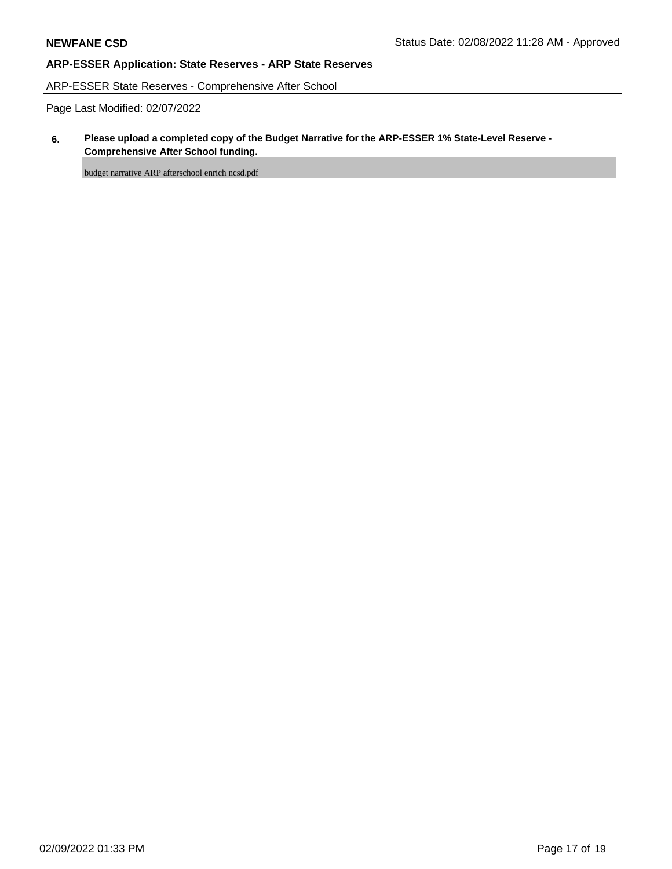ARP-ESSER State Reserves - Comprehensive After School

Page Last Modified: 02/07/2022

## **6. Please upload a completed copy of the Budget Narrative for the ARP-ESSER 1% State-Level Reserve - Comprehensive After School funding.**

budget narrative ARP afterschool enrich ncsd.pdf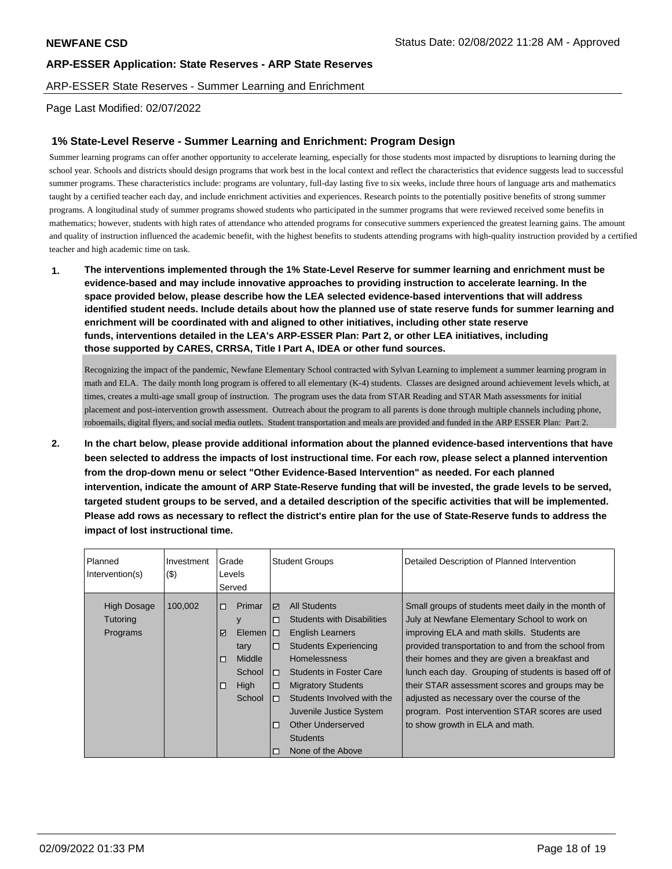ARP-ESSER State Reserves - Summer Learning and Enrichment

### Page Last Modified: 02/07/2022

## **1% State-Level Reserve - Summer Learning and Enrichment: Program Design**

Summer learning programs can offer another opportunity to accelerate learning, especially for those students most impacted by disruptions to learning during the school year. Schools and districts should design programs that work best in the local context and reflect the characteristics that evidence suggests lead to successful summer programs. These characteristics include: programs are voluntary, full-day lasting five to six weeks, include three hours of language arts and mathematics taught by a certified teacher each day, and include enrichment activities and experiences. Research points to the potentially positive benefits of strong summer programs. A longitudinal study of summer programs showed students who participated in the summer programs that were reviewed received some benefits in mathematics; however, students with high rates of attendance who attended programs for consecutive summers experienced the greatest learning gains. The amount and quality of instruction influenced the academic benefit, with the highest benefits to students attending programs with high-quality instruction provided by a certified teacher and high academic time on task.

**1. The interventions implemented through the 1% State-Level Reserve for summer learning and enrichment must be evidence-based and may include innovative approaches to providing instruction to accelerate learning. In the space provided below, please describe how the LEA selected evidence-based interventions that will address identified student needs. Include details about how the planned use of state reserve funds for summer learning and enrichment will be coordinated with and aligned to other initiatives, including other state reserve funds, interventions detailed in the LEA's ARP-ESSER Plan: Part 2, or other LEA initiatives, including those supported by CARES, CRRSA, Title I Part A, IDEA or other fund sources.**

Recognizing the impact of the pandemic, Newfane Elementary School contracted with Sylvan Learning to implement a summer learning program in math and ELA. The daily month long program is offered to all elementary (K-4) students. Classes are designed around achievement levels which, at times, creates a multi-age small group of instruction. The program uses the data from STAR Reading and STAR Math assessments for initial placement and post-intervention growth assessment. Outreach about the program to all parents is done through multiple channels including phone, roboemails, digital flyers, and social media outlets. Student transportation and meals are provided and funded in the ARP ESSER Plan: Part 2.

**2. In the chart below, please provide additional information about the planned evidence-based interventions that have been selected to address the impacts of lost instructional time. For each row, please select a planned intervention from the drop-down menu or select "Other Evidence-Based Intervention" as needed. For each planned intervention, indicate the amount of ARP State-Reserve funding that will be invested, the grade levels to be served, targeted student groups to be served, and a detailed description of the specific activities that will be implemented. Please add rows as necessary to reflect the district's entire plan for the use of State-Reserve funds to address the impact of lost instructional time.**

| Planned<br>Intervention(s)                        | Investment<br>$($ \$) | Grade<br>Levels<br>Served |                                                                             |                                                    | <b>Student Groups</b>                                                                                                                                                                                                                                                                                                           | Detailed Description of Planned Intervention                                                                                                                                                                                                                                                                                                                                                                                                                                                                |
|---------------------------------------------------|-----------------------|---------------------------|-----------------------------------------------------------------------------|----------------------------------------------------|---------------------------------------------------------------------------------------------------------------------------------------------------------------------------------------------------------------------------------------------------------------------------------------------------------------------------------|-------------------------------------------------------------------------------------------------------------------------------------------------------------------------------------------------------------------------------------------------------------------------------------------------------------------------------------------------------------------------------------------------------------------------------------------------------------------------------------------------------------|
| <b>High Dosage</b><br><b>Tutoring</b><br>Programs | 100,002               | □<br>₽<br>п<br>□          | Primar<br>У<br>Elemen $ \Box$<br>tary<br>Middle<br>School<br>High<br>School | $\triangledown$<br>п<br>□<br>п<br>о<br>п<br>п<br>п | <b>All Students</b><br><b>Students with Disabilities</b><br><b>English Learners</b><br><b>Students Experiencing</b><br><b>Homelessness</b><br><b>Students in Foster Care</b><br><b>Migratory Students</b><br>Students Involved with the<br>Juvenile Justice System<br>Other Underserved<br><b>Students</b><br>None of the Above | Small groups of students meet daily in the month of<br>July at Newfane Elementary School to work on<br>improving ELA and math skills. Students are<br>provided transportation to and from the school from<br>their homes and they are given a breakfast and<br>lunch each day. Grouping of students is based off of<br>their STAR assessment scores and groups may be<br>adjusted as necessary over the course of the<br>program. Post intervention STAR scores are used<br>to show growth in ELA and math. |